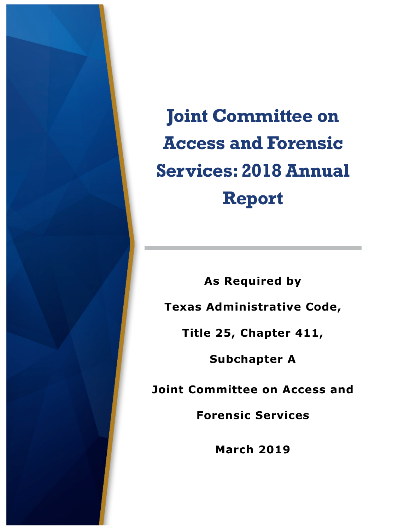

**Joint Committee on Access and Forensic Services: 2018 Annual Report**

**As Required by Texas Administrative Code, Title 25, Chapter 411, Subchapter A Joint Committee on Access and** 

**Forensic Services** 

**March 2019**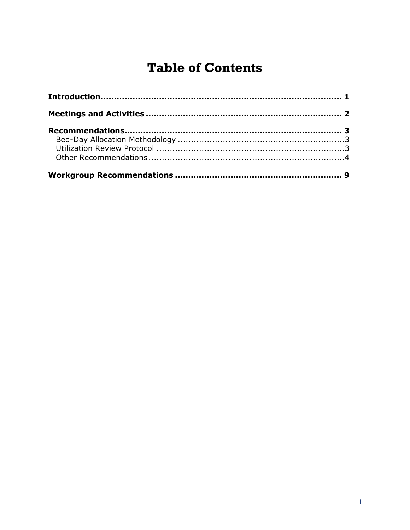# **Table of Contents**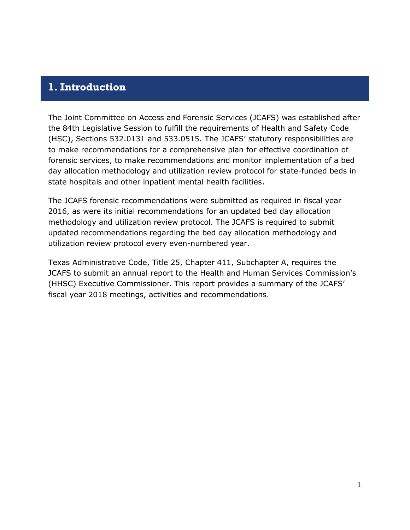## <span id="page-2-0"></span>**1. Introduction**

The Joint Committee on Access and Forensic Services (JCAFS) was established after the 84th Legislative Session to fulfill the requirements of [Health and Safety Code](http://www.legis.state.tx.us/tlodocs/84R/billtext/html/SB01507F.HTM)  [\(HSC\), Sections 532.0131 and 533.0515. T](http://www.legis.state.tx.us/tlodocs/84R/billtext/html/SB01507F.HTM)he JCAFS' statutory responsibilities are to make recommendations for a comprehensive plan for effective coordination of forensic services, to make recommendations and monitor implementation of a bed day allocation methodology and utilization review protocol for state-funded beds in state hospitals and other inpatient mental health facilities.

The JCAFS forensic recommendations were submitted as required in fiscal year 2016, as were its initial recommendations for an updated bed day allocation methodology and utilization review protocol. The JCAFS is required to submit updated recommendations regarding the bed day allocation methodology and utilization review protocol every even-numbered year.

Texas Administrative Code, Title 25, Chapter 411, Subchapter A, requires the JCAFS to submit an annual report to the Health and Human Services Commission's (HHSC) Executive Commissioner. This report provides a summary of the JCAFS' fiscal year 2018 meetings, activities and recommendations.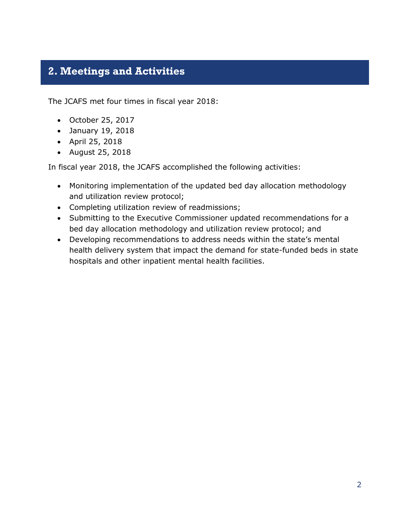# <span id="page-3-0"></span>**2. Meetings and Activities**

The JCAFS met four times in fiscal year 2018:

- October 25, 2017
- January 19, 2018
- April 25, 2018
- August 25, 2018

In fiscal year 2018, the JCAFS accomplished the following activities:

- Monitoring implementation of the updated bed day allocation methodology and utilization review protocol;
- Completing utilization review of readmissions;
- Submitting to the Executive Commissioner updated recommendations for a bed day allocation methodology and utilization review protocol; and
- Developing recommendations to address needs within the state's mental health delivery system that impact the demand for state-funded beds in state hospitals and other inpatient mental health facilities.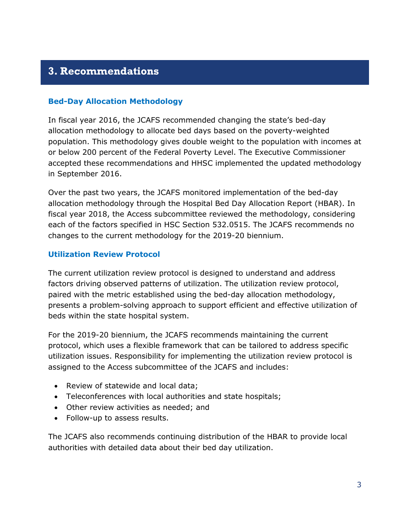# <span id="page-4-0"></span>**3. Recommendations**

#### <span id="page-4-1"></span>**Bed-Day Allocation Methodology**

In fiscal year 2016, the JCAFS recommended changing the state's bed-day allocation methodology to allocate bed days based on the poverty-weighted population. This methodology gives double weight to the population with incomes at or below 200 percent of the Federal Poverty Level. The Executive Commissioner accepted these recommendations and HHSC implemented the updated methodology in September 2016.

Over the past two years, the JCAFS monitored implementation of the bed-day allocation methodology through the Hospital Bed Day Allocation Report (HBAR). In fiscal year 2018, the Access subcommittee reviewed the methodology, considering each of the factors specified in HSC Section 532.0515. The JCAFS recommends no changes to the current methodology for the 2019-20 biennium.

#### <span id="page-4-2"></span>**Utilization Review Protocol**

The current utilization review protocol is designed to understand and address factors driving observed patterns of utilization. The utilization review protocol, paired with the metric established using the bed-day allocation methodology, presents a problem-solving approach to support efficient and effective utilization of beds within the state hospital system.

For the 2019-20 biennium, the JCAFS recommends maintaining the current protocol, which uses a flexible framework that can be tailored to address specific utilization issues. Responsibility for implementing the utilization review protocol is assigned to the Access subcommittee of the JCAFS and includes:

- Review of statewide and local data;
- Teleconferences with local authorities and state hospitals;
- Other review activities as needed; and
- Follow-up to assess results.

The JCAFS also recommends continuing distribution of the HBAR to provide local authorities with detailed data about their bed day utilization.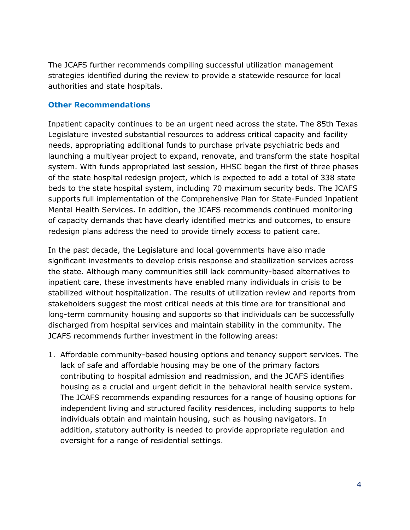The JCAFS further recommends compiling successful utilization management strategies identified during the review to provide a statewide resource for local authorities and state hospitals.

#### <span id="page-5-0"></span>**Other Recommendations**

Inpatient capacity continues to be an urgent need across the state. The 85th Texas Legislature invested substantial resources to address critical capacity and facility needs, appropriating additional funds to purchase private psychiatric beds and launching a multiyear project to expand, renovate, and transform the state hospital system. With funds appropriated last session, HHSC began the first of three phases of the state hospital redesign project, which is expected to add a total of 338 state beds to the state hospital system, including 70 maximum security beds. The JCAFS supports full implementation of the Comprehensive Plan for State-Funded Inpatient Mental Health Services. In addition, the JCAFS recommends continued monitoring of capacity demands that have clearly identified metrics and outcomes, to ensure redesign plans address the need to provide timely access to patient care.

In the past decade, the Legislature and local governments have also made significant investments to develop crisis response and stabilization services across the state. Although many communities still lack community-based alternatives to inpatient care, these investments have enabled many individuals in crisis to be stabilized without hospitalization. The results of utilization review and reports from stakeholders suggest the most critical needs at this time are for transitional and long-term community housing and supports so that individuals can be successfully discharged from hospital services and maintain stability in the community. The JCAFS recommends further investment in the following areas:

1. Affordable community-based housing options and tenancy support services. The lack of safe and affordable housing may be one of the primary factors contributing to hospital admission and readmission, and the JCAFS identifies housing as a crucial and urgent deficit in the behavioral health service system. The JCAFS recommends expanding resources for a range of housing options for independent living and structured facility residences, including supports to help individuals obtain and maintain housing, such as housing navigators. In addition, statutory authority is needed to provide appropriate regulation and oversight for a range of residential settings.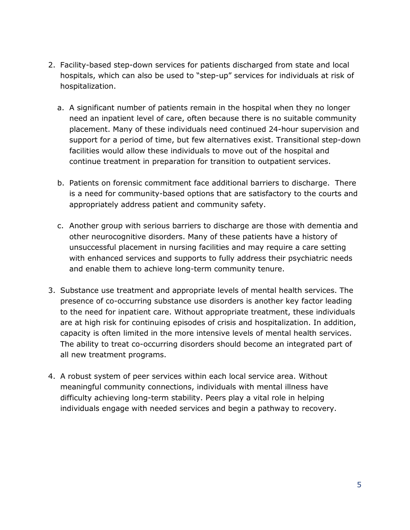- 2. Facility-based step-down services for patients discharged from state and local hospitals, which can also be used to "step-up" services for individuals at risk of hospitalization.
	- a. A significant number of patients remain in the hospital when they no longer need an inpatient level of care, often because there is no suitable community placement. Many of these individuals need continued 24-hour supervision and support for a period of time, but few alternatives exist. Transitional step-down facilities would allow these individuals to move out of the hospital and continue treatment in preparation for transition to outpatient services.
	- b. Patients on forensic commitment face additional barriers to discharge. There is a need for community-based options that are satisfactory to the courts and appropriately address patient and community safety.
	- c. Another group with serious barriers to discharge are those with dementia and other neurocognitive disorders. Many of these patients have a history of unsuccessful placement in nursing facilities and may require a care setting with enhanced services and supports to fully address their psychiatric needs and enable them to achieve long-term community tenure.
- 3. Substance use treatment and appropriate levels of mental health services. The presence of co-occurring substance use disorders is another key factor leading to the need for inpatient care. Without appropriate treatment, these individuals are at high risk for continuing episodes of crisis and hospitalization. In addition, capacity is often limited in the more intensive levels of mental health services. The ability to treat co-occurring disorders should become an integrated part of all new treatment programs.
- 4. A robust system of peer services within each local service area. Without meaningful community connections, individuals with mental illness have difficulty achieving long-term stability. Peers play a vital role in helping individuals engage with needed services and begin a pathway to recovery.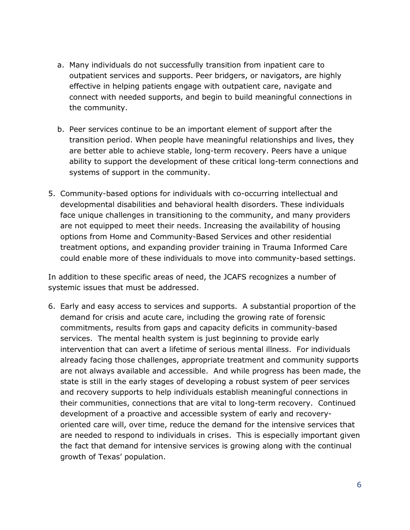- a. Many individuals do not successfully transition from inpatient care to outpatient services and supports. Peer bridgers, or navigators, are highly effective in helping patients engage with outpatient care, navigate and connect with needed supports, and begin to build meaningful connections in the community.
- b. Peer services continue to be an important element of support after the transition period. When people have meaningful relationships and lives, they are better able to achieve stable, long-term recovery. Peers have a unique ability to support the development of these critical long-term connections and systems of support in the community.
- 5. Community-based options for individuals with co-occurring intellectual and developmental disabilities and behavioral health disorders. These individuals face unique challenges in transitioning to the community, and many providers are not equipped to meet their needs. Increasing the availability of housing options from Home and Community-Based Services and other residential treatment options, and expanding provider training in Trauma Informed Care could enable more of these individuals to move into community-based settings.

In addition to these specific areas of need, the JCAFS recognizes a number of systemic issues that must be addressed.

6. Early and easy access to services and supports. A substantial proportion of the demand for crisis and acute care, including the growing rate of forensic commitments, results from gaps and capacity deficits in community-based services. The mental health system is just beginning to provide early intervention that can avert a lifetime of serious mental illness. For individuals already facing those challenges, appropriate treatment and community supports are not always available and accessible. And while progress has been made, the state is still in the early stages of developing a robust system of peer services and recovery supports to help individuals establish meaningful connections in their communities, connections that are vital to long-term recovery. Continued development of a proactive and accessible system of early and recoveryoriented care will, over time, reduce the demand for the intensive services that are needed to respond to individuals in crises. This is especially important given the fact that demand for intensive services is growing along with the continual growth of Texas' population.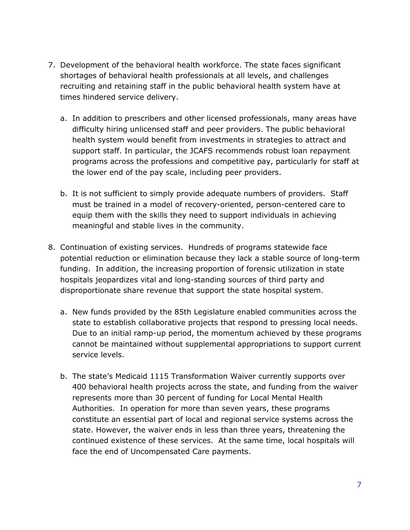- 7. Development of the behavioral health workforce. The state faces significant shortages of behavioral health professionals at all levels, and challenges recruiting and retaining staff in the public behavioral health system have at times hindered service delivery.
	- a. In addition to prescribers and other licensed professionals, many areas have difficulty hiring unlicensed staff and peer providers. The public behavioral health system would benefit from investments in strategies to attract and support staff. In particular, the JCAFS recommends robust loan repayment programs across the professions and competitive pay, particularly for staff at the lower end of the pay scale, including peer providers.
	- b. It is not sufficient to simply provide adequate numbers of providers. Staff must be trained in a model of recovery-oriented, person-centered care to equip them with the skills they need to support individuals in achieving meaningful and stable lives in the community.
- 8. Continuation of existing services. Hundreds of programs statewide face potential reduction or elimination because they lack a stable source of long-term funding. In addition, the increasing proportion of forensic utilization in state hospitals jeopardizes vital and long-standing sources of third party and disproportionate share revenue that support the state hospital system.
	- a. New funds provided by the 85th Legislature enabled communities across the state to establish collaborative projects that respond to pressing local needs. Due to an initial ramp-up period, the momentum achieved by these programs cannot be maintained without supplemental appropriations to support current service levels.
	- b. The state's Medicaid 1115 Transformation Waiver currently supports over 400 behavioral health projects across the state, and funding from the waiver represents more than 30 percent of funding for Local Mental Health Authorities. In operation for more than seven years, these programs constitute an essential part of local and regional service systems across the state. However, the waiver ends in less than three years, threatening the continued existence of these services. At the same time, local hospitals will face the end of Uncompensated Care payments.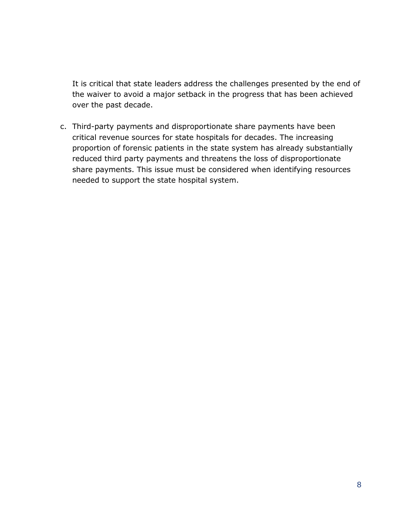It is critical that state leaders address the challenges presented by the end of the waiver to avoid a major setback in the progress that has been achieved over the past decade.

c. Third-party payments and disproportionate share payments have been critical revenue sources for state hospitals for decades. The increasing proportion of forensic patients in the state system has already substantially reduced third party payments and threatens the loss of disproportionate share payments. This issue must be considered when identifying resources needed to support the state hospital system.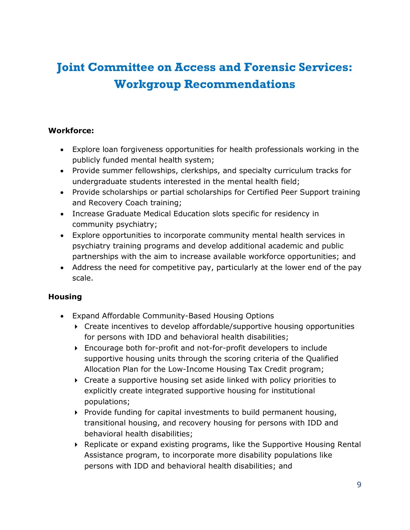# <span id="page-10-0"></span>**Joint Committee on Access and Forensic Services: Workgroup Recommendations**

### **Workforce:**

- Explore loan forgiveness opportunities for health professionals working in the publicly funded mental health system;
- Provide summer fellowships, clerkships, and specialty curriculum tracks for undergraduate students interested in the mental health field;
- Provide scholarships or partial scholarships for Certified Peer Support training and Recovery Coach training;
- Increase Graduate Medical Education slots specific for residency in community psychiatry;
- Explore opportunities to incorporate community mental health services in psychiatry training programs and develop additional academic and public partnerships with the aim to increase available workforce opportunities; and
- Address the need for competitive pay, particularly at the lower end of the pay scale.

### **Housing**

- Expand Affordable Community-Based Housing Options
	- ▶ Create incentives to develop affordable/supportive housing opportunities for persons with IDD and behavioral health disabilities;
	- Encourage both for-profit and not-for-profit developers to include supportive housing units through the scoring criteria of the Qualified Allocation Plan for the Low-Income Housing Tax Credit program;
	- Create a supportive housing set aside linked with policy priorities to explicitly create integrated supportive housing for institutional populations;
	- $\triangleright$  Provide funding for capital investments to build permanent housing, transitional housing, and recovery housing for persons with IDD and behavioral health disabilities;
	- Replicate or expand existing programs, like the Supportive Housing Rental Assistance program, to incorporate more disability populations like persons with IDD and behavioral health disabilities; and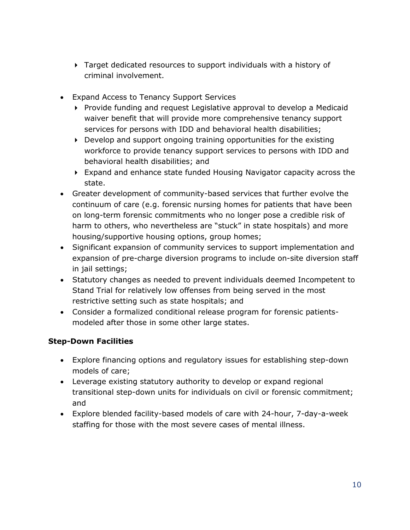- Target dedicated resources to support individuals with a history of criminal involvement.
- Expand Access to Tenancy Support Services
	- ▶ Provide funding and request Legislative approval to develop a Medicaid waiver benefit that will provide more comprehensive tenancy support services for persons with IDD and behavioral health disabilities;
	- $\triangleright$  Develop and support ongoing training opportunities for the existing workforce to provide tenancy support services to persons with IDD and behavioral health disabilities; and
	- Expand and enhance state funded Housing Navigator capacity across the state.
- Greater development of community-based services that further evolve the continuum of care (e.g. forensic nursing homes for patients that have been on long-term forensic commitments who no longer pose a credible risk of harm to others, who nevertheless are "stuck" in state hospitals) and more housing/supportive housing options, group homes;
- Significant expansion of community services to support implementation and expansion of pre-charge diversion programs to include on-site diversion staff in jail settings;
- Statutory changes as needed to prevent individuals deemed Incompetent to Stand Trial for relatively low offenses from being served in the most restrictive setting such as state hospitals; and
- Consider a formalized conditional release program for forensic patientsmodeled after those in some other large states.

### **Step-Down Facilities**

- Explore financing options and regulatory issues for establishing step-down models of care;
- Leverage existing statutory authority to develop or expand regional transitional step-down units for individuals on civil or forensic commitment; and
- Explore blended facility-based models of care with 24-hour, 7-day-a-week staffing for those with the most severe cases of mental illness.